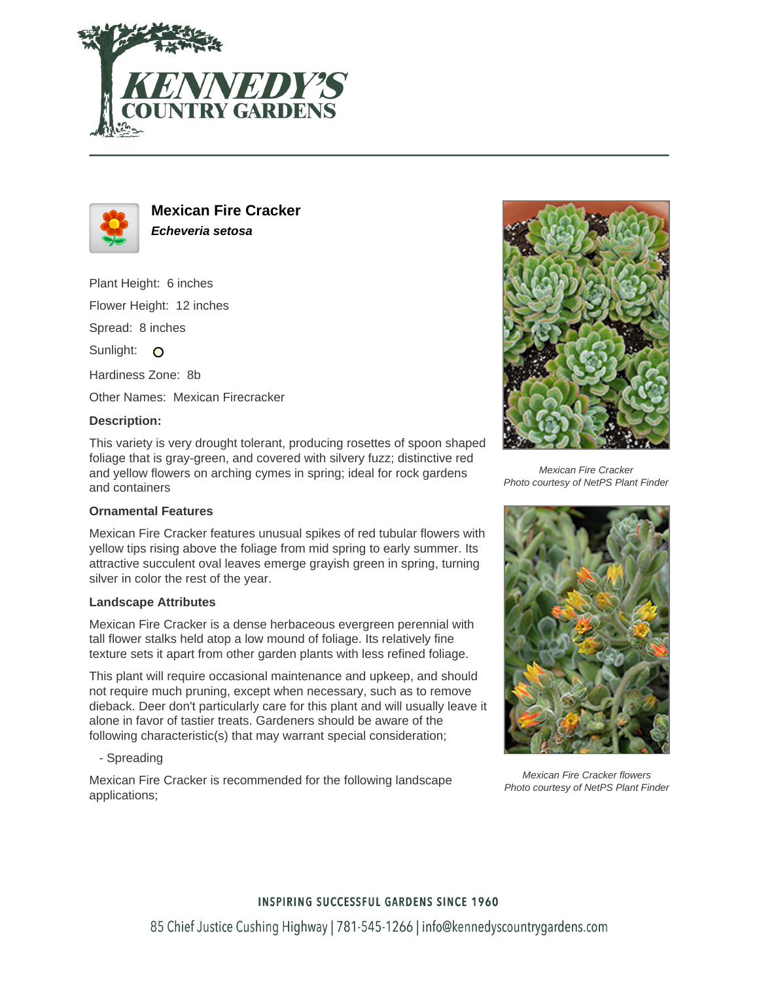



# **Mexican Fire Cracker Echeveria setosa**

Plant Height: 6 inches

Flower Height: 12 inches

Spread: 8 inches

Sunlight: O

Hardiness Zone: 8b

Other Names: Mexican Firecracker

#### **Description:**

This variety is very drought tolerant, producing rosettes of spoon shaped foliage that is gray-green, and covered with silvery fuzz; distinctive red and yellow flowers on arching cymes in spring; ideal for rock gardens and containers

## **Ornamental Features**

Mexican Fire Cracker features unusual spikes of red tubular flowers with yellow tips rising above the foliage from mid spring to early summer. Its attractive succulent oval leaves emerge grayish green in spring, turning silver in color the rest of the year.

#### **Landscape Attributes**

Mexican Fire Cracker is a dense herbaceous evergreen perennial with tall flower stalks held atop a low mound of foliage. Its relatively fine texture sets it apart from other garden plants with less refined foliage.

This plant will require occasional maintenance and upkeep, and should not require much pruning, except when necessary, such as to remove dieback. Deer don't particularly care for this plant and will usually leave it alone in favor of tastier treats. Gardeners should be aware of the following characteristic(s) that may warrant special consideration;

- Spreading

Mexican Fire Cracker is recommended for the following landscape applications;



Mexican Fire Cracker Photo courtesy of NetPS Plant Finder



Mexican Fire Cracker flowers Photo courtesy of NetPS Plant Finder

### **INSPIRING SUCCESSFUL GARDENS SINCE 1960**